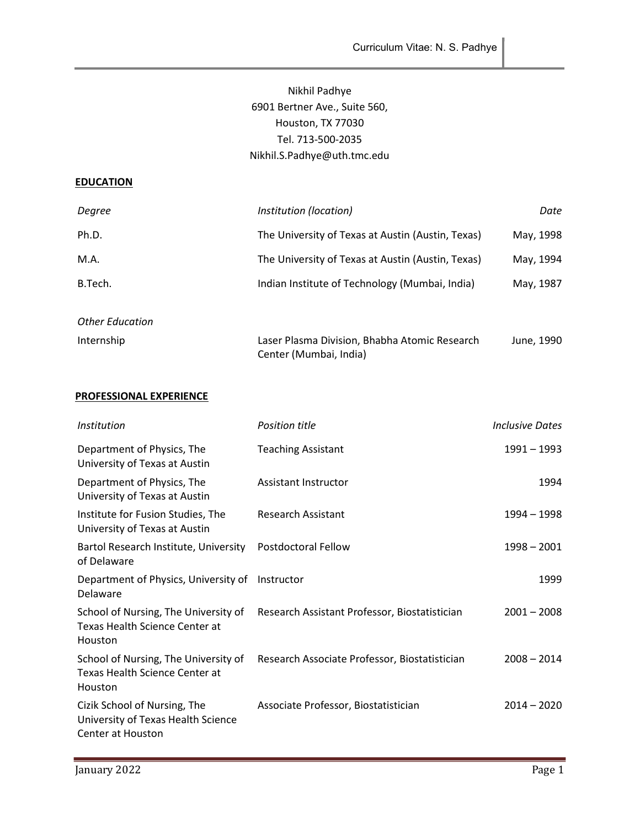# Nikhil Padhye 6901 Bertner Ave., Suite 560, Houston, TX 77030 Tel. 713-500-2035 Nikhil.S.Padhye@uth.tmc.edu

#### **EDUCATION**

| Degree                 | Institution (location)                                                  | Date       |
|------------------------|-------------------------------------------------------------------------|------------|
| Ph.D.                  | The University of Texas at Austin (Austin, Texas)                       | May, 1998  |
| M.A.                   | The University of Texas at Austin (Austin, Texas)                       | May, 1994  |
| B.Tech.                | Indian Institute of Technology (Mumbai, India)                          | May, 1987  |
|                        |                                                                         |            |
| <b>Other Education</b> |                                                                         |            |
| Internship             | Laser Plasma Division, Bhabha Atomic Research<br>Center (Mumbai, India) | June, 1990 |

# PROFESSIONAL EXPERIENCE

| <i>Institution</i>                                                                       | Position title                                | Inclusive Dates |
|------------------------------------------------------------------------------------------|-----------------------------------------------|-----------------|
| Department of Physics, The<br>University of Texas at Austin                              | <b>Teaching Assistant</b>                     | 1991 - 1993     |
| Department of Physics, The<br>University of Texas at Austin                              | Assistant Instructor                          | 1994            |
| Institute for Fusion Studies, The<br>University of Texas at Austin                       | Research Assistant                            | 1994 – 1998     |
| Bartol Research Institute, University<br>of Delaware                                     | Postdoctoral Fellow                           | $1998 - 2001$   |
| Department of Physics, University of<br>Delaware                                         | Instructor                                    | 1999            |
| School of Nursing, The University of<br><b>Texas Health Science Center at</b><br>Houston | Research Assistant Professor, Biostatistician | $2001 - 2008$   |
| School of Nursing, The University of<br><b>Texas Health Science Center at</b><br>Houston | Research Associate Professor, Biostatistician | $2008 - 2014$   |
| Cizik School of Nursing, The<br>University of Texas Health Science<br>Center at Houston  | Associate Professor, Biostatistician          | 2014 - 2020     |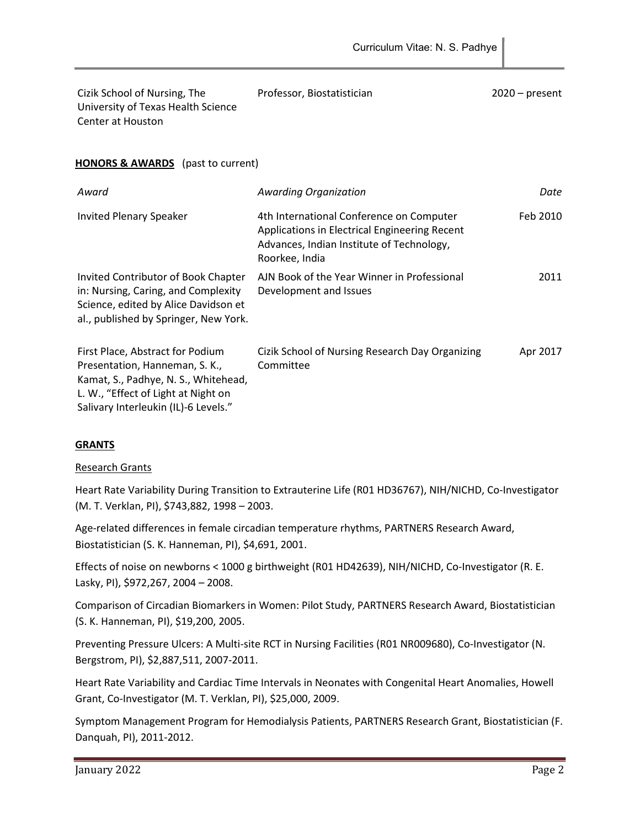| Cizik School of Nursing, The       | Professor, Biostatistician | $2020 - present$ |
|------------------------------------|----------------------------|------------------|
| University of Texas Health Science |                            |                  |
| Center at Houston                  |                            |                  |

### **HONORS & AWARDS** (past to current)

| Award                                                                                                                                                                                     | <b>Awarding Organization</b>                                                                                                                             | Date     |
|-------------------------------------------------------------------------------------------------------------------------------------------------------------------------------------------|----------------------------------------------------------------------------------------------------------------------------------------------------------|----------|
| <b>Invited Plenary Speaker</b>                                                                                                                                                            | 4th International Conference on Computer<br>Applications in Electrical Engineering Recent<br>Advances, Indian Institute of Technology,<br>Roorkee, India | Feb 2010 |
| Invited Contributor of Book Chapter<br>in: Nursing, Caring, and Complexity<br>Science, edited by Alice Davidson et<br>al., published by Springer, New York.                               | AJN Book of the Year Winner in Professional<br>Development and Issues                                                                                    | 2011     |
| First Place, Abstract for Podium<br>Presentation, Hanneman, S. K.,<br>Kamat, S., Padhye, N. S., Whitehead,<br>L. W., "Effect of Light at Night on<br>Salivary Interleukin (IL)-6 Levels." | Cizik School of Nursing Research Day Organizing<br>Committee                                                                                             | Apr 2017 |

### **GRANTS**

### Research Grants

Heart Rate Variability During Transition to Extrauterine Life (R01 HD36767), NIH/NICHD, Co-Investigator (M. T. Verklan, PI), \$743,882, 1998 – 2003.

Age-related differences in female circadian temperature rhythms, PARTNERS Research Award, Biostatistician (S. K. Hanneman, PI), \$4,691, 2001.

Effects of noise on newborns < 1000 g birthweight (R01 HD42639), NIH/NICHD, Co-Investigator (R. E. Lasky, PI), \$972,267, 2004 – 2008.

Comparison of Circadian Biomarkers in Women: Pilot Study, PARTNERS Research Award, Biostatistician (S. K. Hanneman, PI), \$19,200, 2005.

Preventing Pressure Ulcers: A Multi-site RCT in Nursing Facilities (R01 NR009680), Co-Investigator (N. Bergstrom, PI), \$2,887,511, 2007-2011.

Heart Rate Variability and Cardiac Time Intervals in Neonates with Congenital Heart Anomalies, Howell Grant, Co-Investigator (M. T. Verklan, PI), \$25,000, 2009.

Symptom Management Program for Hemodialysis Patients, PARTNERS Research Grant, Biostatistician (F. Danquah, PI), 2011-2012.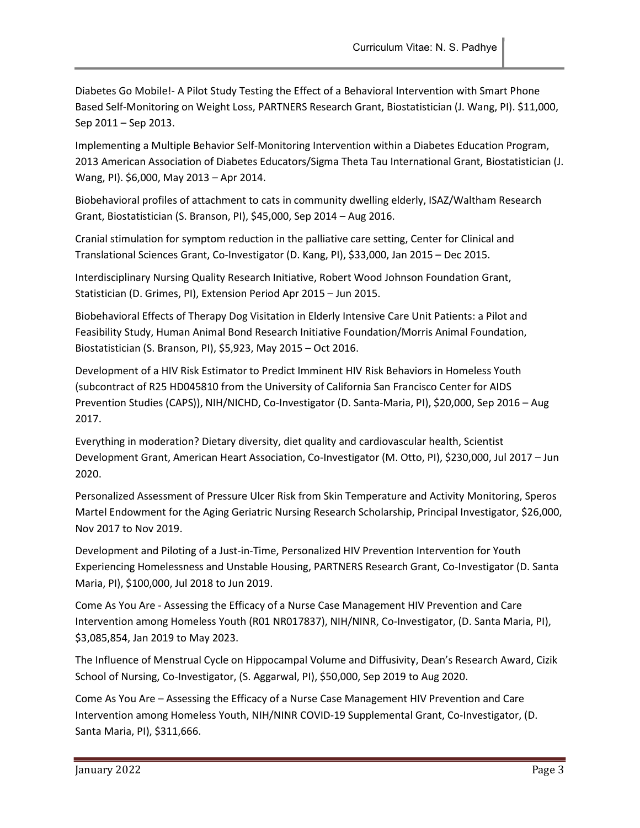Diabetes Go Mobile!- A Pilot Study Testing the Effect of a Behavioral Intervention with Smart Phone Based Self-Monitoring on Weight Loss, PARTNERS Research Grant, Biostatistician (J. Wang, PI). \$11,000, Sep 2011 – Sep 2013.

Implementing a Multiple Behavior Self-Monitoring Intervention within a Diabetes Education Program, 2013 American Association of Diabetes Educators/Sigma Theta Tau International Grant, Biostatistician (J. Wang, PI). \$6,000, May 2013 – Apr 2014.

Biobehavioral profiles of attachment to cats in community dwelling elderly, ISAZ/Waltham Research Grant, Biostatistician (S. Branson, PI), \$45,000, Sep 2014 – Aug 2016.

Cranial stimulation for symptom reduction in the palliative care setting, Center for Clinical and Translational Sciences Grant, Co-Investigator (D. Kang, PI), \$33,000, Jan 2015 – Dec 2015.

Interdisciplinary Nursing Quality Research Initiative, Robert Wood Johnson Foundation Grant, Statistician (D. Grimes, PI), Extension Period Apr 2015 – Jun 2015.

Biobehavioral Effects of Therapy Dog Visitation in Elderly Intensive Care Unit Patients: a Pilot and Feasibility Study, Human Animal Bond Research Initiative Foundation/Morris Animal Foundation, Biostatistician (S. Branson, PI), \$5,923, May 2015 – Oct 2016.

Development of a HIV Risk Estimator to Predict Imminent HIV Risk Behaviors in Homeless Youth (subcontract of R25 HD045810 from the University of California San Francisco Center for AIDS Prevention Studies (CAPS)), NIH/NICHD, Co-Investigator (D. Santa-Maria, PI), \$20,000, Sep 2016 – Aug 2017.

Everything in moderation? Dietary diversity, diet quality and cardiovascular health, Scientist Development Grant, American Heart Association, Co-Investigator (M. Otto, PI), \$230,000, Jul 2017 – Jun 2020.

Personalized Assessment of Pressure Ulcer Risk from Skin Temperature and Activity Monitoring, Speros Martel Endowment for the Aging Geriatric Nursing Research Scholarship, Principal Investigator, \$26,000, Nov 2017 to Nov 2019.

Development and Piloting of a Just-in-Time, Personalized HIV Prevention Intervention for Youth Experiencing Homelessness and Unstable Housing, PARTNERS Research Grant, Co-Investigator (D. Santa Maria, PI), \$100,000, Jul 2018 to Jun 2019.

Come As You Are - Assessing the Efficacy of a Nurse Case Management HIV Prevention and Care Intervention among Homeless Youth (R01 NR017837), NIH/NINR, Co-Investigator, (D. Santa Maria, PI), \$3,085,854, Jan 2019 to May 2023.

The Influence of Menstrual Cycle on Hippocampal Volume and Diffusivity, Dean's Research Award, Cizik School of Nursing, Co-Investigator, (S. Aggarwal, PI), \$50,000, Sep 2019 to Aug 2020.

Come As You Are – Assessing the Efficacy of a Nurse Case Management HIV Prevention and Care Intervention among Homeless Youth, NIH/NINR COVID-19 Supplemental Grant, Co-Investigator, (D. Santa Maria, PI), \$311,666.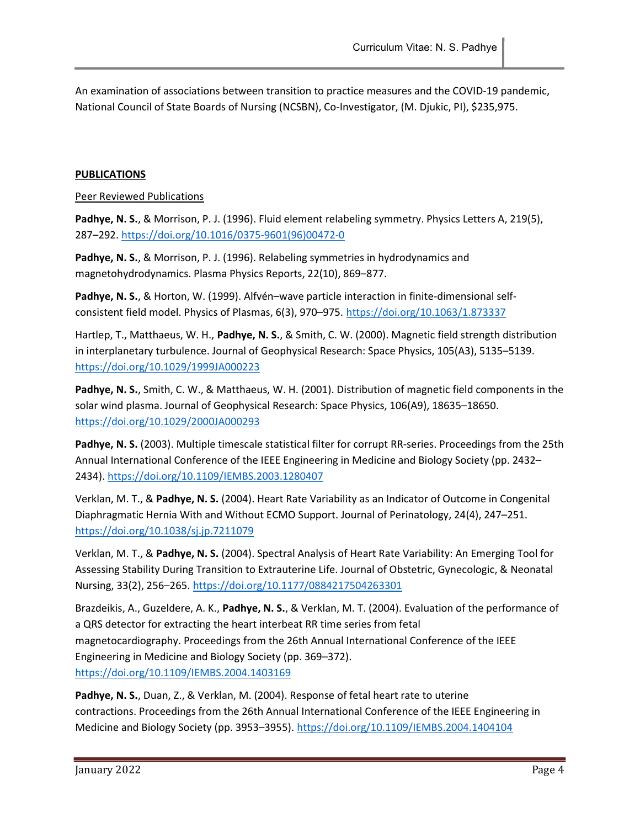An examination of associations between transition to practice measures and the COVID-19 pandemic, National Council of State Boards of Nursing (NCSBN), Co-Investigator, (M. Djukic, PI), \$235,975.

### PUBLICATIONS

#### Peer Reviewed Publications

Padhye, N. S., & Morrison, P. J. (1996). Fluid element relabeling symmetry. Physics Letters A, 219(5), 287–292. https://doi.org/10.1016/0375-9601(96)00472-0

Padhye, N. S., & Morrison, P. J. (1996). Relabeling symmetries in hydrodynamics and magnetohydrodynamics. Plasma Physics Reports, 22(10), 869–877.

Padhye, N. S., & Horton, W. (1999). Alfvén–wave particle interaction in finite-dimensional selfconsistent field model. Physics of Plasmas, 6(3), 970–975. https://doi.org/10.1063/1.873337

Hartlep, T., Matthaeus, W. H., Padhye, N. S., & Smith, C. W. (2000). Magnetic field strength distribution in interplanetary turbulence. Journal of Geophysical Research: Space Physics, 105(A3), 5135–5139. https://doi.org/10.1029/1999JA000223

Padhye, N. S., Smith, C. W., & Matthaeus, W. H. (2001). Distribution of magnetic field components in the solar wind plasma. Journal of Geophysical Research: Space Physics, 106(A9), 18635–18650. https://doi.org/10.1029/2000JA000293

Padhye, N. S. (2003). Multiple timescale statistical filter for corrupt RR-series. Proceedings from the 25th Annual International Conference of the IEEE Engineering in Medicine and Biology Society (pp. 2432– 2434). https://doi.org/10.1109/IEMBS.2003.1280407

Verklan, M. T., & Padhye, N. S. (2004). Heart Rate Variability as an Indicator of Outcome in Congenital Diaphragmatic Hernia With and Without ECMO Support. Journal of Perinatology, 24(4), 247–251. https://doi.org/10.1038/sj.jp.7211079

Verklan, M. T., & Padhye, N. S. (2004). Spectral Analysis of Heart Rate Variability: An Emerging Tool for Assessing Stability During Transition to Extrauterine Life. Journal of Obstetric, Gynecologic, & Neonatal Nursing, 33(2), 256–265. https://doi.org/10.1177/0884217504263301

Brazdeikis, A., Guzeldere, A. K., Padhye, N. S., & Verklan, M. T. (2004). Evaluation of the performance of a QRS detector for extracting the heart interbeat RR time series from fetal magnetocardiography. Proceedings from the 26th Annual International Conference of the IEEE Engineering in Medicine and Biology Society (pp. 369–372). https://doi.org/10.1109/IEMBS.2004.1403169

Padhye, N. S., Duan, Z., & Verklan, M. (2004). Response of fetal heart rate to uterine contractions. Proceedings from the 26th Annual International Conference of the IEEE Engineering in Medicine and Biology Society (pp. 3953–3955). https://doi.org/10.1109/IEMBS.2004.1404104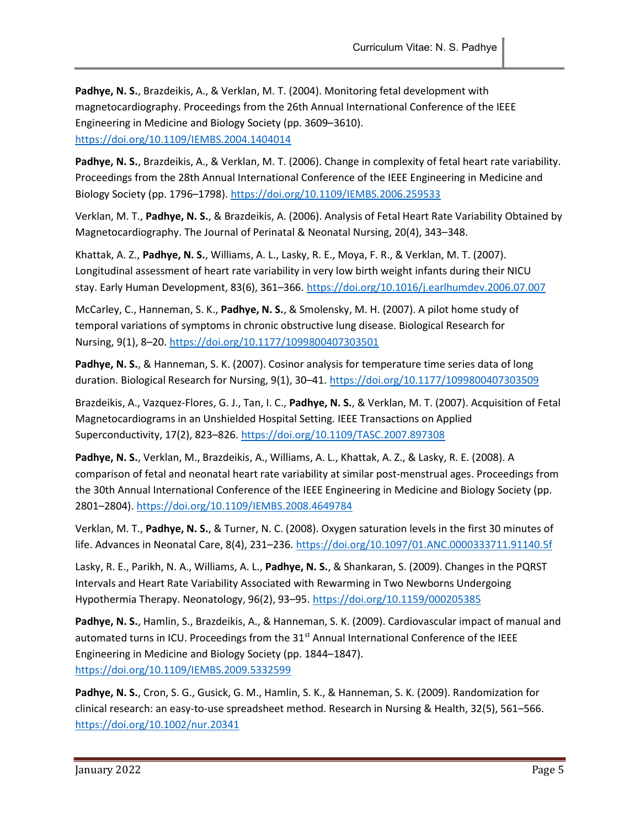Padhye, N. S., Brazdeikis, A., & Verklan, M. T. (2004). Monitoring fetal development with magnetocardiography. Proceedings from the 26th Annual International Conference of the IEEE Engineering in Medicine and Biology Society (pp. 3609–3610). https://doi.org/10.1109/IEMBS.2004.1404014

Padhye, N. S., Brazdeikis, A., & Verklan, M. T. (2006). Change in complexity of fetal heart rate variability. Proceedings from the 28th Annual International Conference of the IEEE Engineering in Medicine and Biology Society (pp. 1796–1798). https://doi.org/10.1109/IEMBS.2006.259533

Verklan, M. T., Padhye, N. S., & Brazdeikis, A. (2006). Analysis of Fetal Heart Rate Variability Obtained by Magnetocardiography. The Journal of Perinatal & Neonatal Nursing, 20(4), 343–348.

Khattak, A. Z., Padhye, N. S., Williams, A. L., Lasky, R. E., Moya, F. R., & Verklan, M. T. (2007). Longitudinal assessment of heart rate variability in very low birth weight infants during their NICU stay. Early Human Development, 83(6), 361-366. https://doi.org/10.1016/j.earlhumdev.2006.07.007

McCarley, C., Hanneman, S. K., Padhye, N. S., & Smolensky, M. H. (2007). A pilot home study of temporal variations of symptoms in chronic obstructive lung disease. Biological Research for Nursing, 9(1), 8–20. https://doi.org/10.1177/1099800407303501

Padhye, N. S., & Hanneman, S. K. (2007). Cosinor analysis for temperature time series data of long duration. Biological Research for Nursing, 9(1), 30–41. https://doi.org/10.1177/1099800407303509

Brazdeikis, A., Vazquez-Flores, G. J., Tan, I. C., Padhye, N. S., & Verklan, M. T. (2007). Acquisition of Fetal Magnetocardiograms in an Unshielded Hospital Setting. IEEE Transactions on Applied Superconductivity, 17(2), 823–826. https://doi.org/10.1109/TASC.2007.897308

Padhye, N. S., Verklan, M., Brazdeikis, A., Williams, A. L., Khattak, A. Z., & Lasky, R. E. (2008). A comparison of fetal and neonatal heart rate variability at similar post-menstrual ages. Proceedings from the 30th Annual International Conference of the IEEE Engineering in Medicine and Biology Society (pp. 2801–2804). https://doi.org/10.1109/IEMBS.2008.4649784

Verklan, M. T., Padhye, N. S., & Turner, N. C. (2008). Oxygen saturation levels in the first 30 minutes of life. Advances in Neonatal Care, 8(4), 231-236. https://doi.org/10.1097/01.ANC.0000333711.91140.5f

Lasky, R. E., Parikh, N. A., Williams, A. L., Padhye, N. S., & Shankaran, S. (2009). Changes in the PQRST Intervals and Heart Rate Variability Associated with Rewarming in Two Newborns Undergoing Hypothermia Therapy. Neonatology, 96(2), 93–95. https://doi.org/10.1159/000205385

Padhye, N. S., Hamlin, S., Brazdeikis, A., & Hanneman, S. K. (2009). Cardiovascular impact of manual and automated turns in ICU. Proceedings from the 31<sup>st</sup> Annual International Conference of the IEEE Engineering in Medicine and Biology Society (pp. 1844–1847). https://doi.org/10.1109/IEMBS.2009.5332599

Padhye, N. S., Cron, S. G., Gusick, G. M., Hamlin, S. K., & Hanneman, S. K. (2009). Randomization for clinical research: an easy-to-use spreadsheet method. Research in Nursing & Health, 32(5), 561–566. https://doi.org/10.1002/nur.20341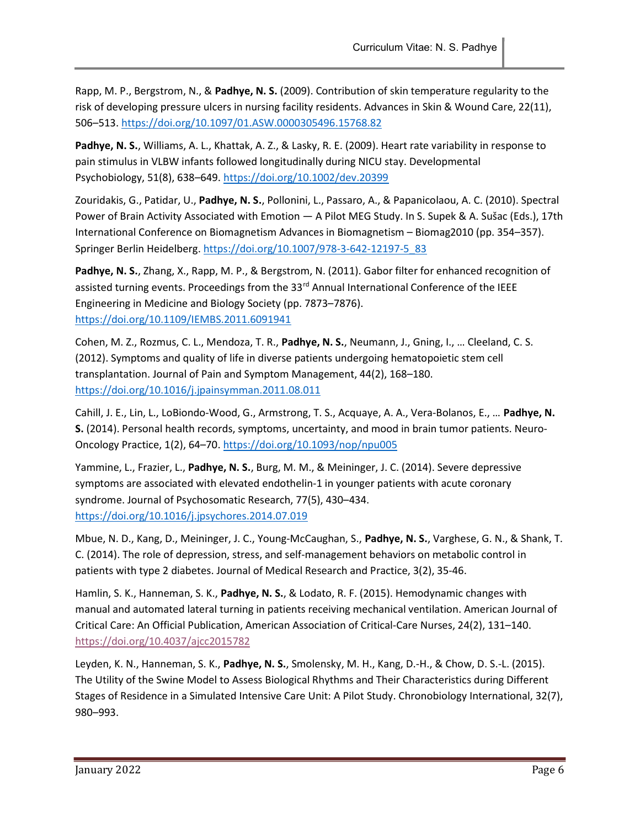Rapp, M. P., Bergstrom, N., & Padhye, N. S. (2009). Contribution of skin temperature regularity to the risk of developing pressure ulcers in nursing facility residents. Advances in Skin & Wound Care, 22(11), 506–513. https://doi.org/10.1097/01.ASW.0000305496.15768.82

Padhye, N. S., Williams, A. L., Khattak, A. Z., & Lasky, R. E. (2009). Heart rate variability in response to pain stimulus in VLBW infants followed longitudinally during NICU stay. Developmental Psychobiology, 51(8), 638–649. https://doi.org/10.1002/dev.20399

Zouridakis, G., Patidar, U., Padhye, N. S., Pollonini, L., Passaro, A., & Papanicolaou, A. C. (2010). Spectral Power of Brain Activity Associated with Emotion — A Pilot MEG Study. In S. Supek & A. Sušac (Eds.), 17th International Conference on Biomagnetism Advances in Biomagnetism – Biomag2010 (pp. 354–357). Springer Berlin Heidelberg. https://doi.org/10.1007/978-3-642-12197-5\_83

Padhye, N. S., Zhang, X., Rapp, M. P., & Bergstrom, N. (2011). Gabor filter for enhanced recognition of assisted turning events. Proceedings from the 33<sup>rd</sup> Annual International Conference of the IEEE Engineering in Medicine and Biology Society (pp. 7873–7876). https://doi.org/10.1109/IEMBS.2011.6091941

Cohen, M. Z., Rozmus, C. L., Mendoza, T. R., Padhye, N. S., Neumann, J., Gning, I., ... Cleeland, C. S. (2012). Symptoms and quality of life in diverse patients undergoing hematopoietic stem cell transplantation. Journal of Pain and Symptom Management, 44(2), 168–180. https://doi.org/10.1016/j.jpainsymman.2011.08.011

Cahill, J. E., Lin, L., LoBiondo-Wood, G., Armstrong, T. S., Acquaye, A. A., Vera-Bolanos, E., … Padhye, N. S. (2014). Personal health records, symptoms, uncertainty, and mood in brain tumor patients. Neuro-Oncology Practice, 1(2), 64–70. https://doi.org/10.1093/nop/npu005

Yammine, L., Frazier, L., Padhye, N. S., Burg, M. M., & Meininger, J. C. (2014). Severe depressive symptoms are associated with elevated endothelin-1 in younger patients with acute coronary syndrome. Journal of Psychosomatic Research, 77(5), 430–434. https://doi.org/10.1016/j.jpsychores.2014.07.019

Mbue, N. D., Kang, D., Meininger, J. C., Young-McCaughan, S., Padhye, N. S., Varghese, G. N., & Shank, T. C. (2014). The role of depression, stress, and self-management behaviors on metabolic control in patients with type 2 diabetes. Journal of Medical Research and Practice, 3(2), 35-46.

Hamlin, S. K., Hanneman, S. K., Padhye, N. S., & Lodato, R. F. (2015). Hemodynamic changes with manual and automated lateral turning in patients receiving mechanical ventilation. American Journal of Critical Care: An Official Publication, American Association of Critical-Care Nurses, 24(2), 131–140. https://doi.org/10.4037/ajcc2015782

Leyden, K. N., Hanneman, S. K., Padhye, N. S., Smolensky, M. H., Kang, D.-H., & Chow, D. S.-L. (2015). The Utility of the Swine Model to Assess Biological Rhythms and Their Characteristics during Different Stages of Residence in a Simulated Intensive Care Unit: A Pilot Study. Chronobiology International, 32(7), 980–993.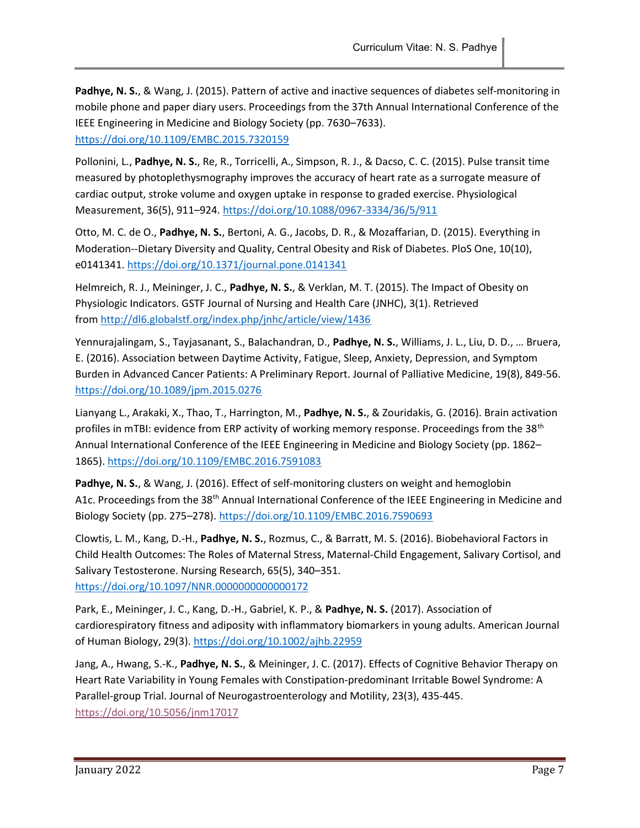Padhye, N. S., & Wang, J. (2015). Pattern of active and inactive sequences of diabetes self-monitoring in mobile phone and paper diary users. Proceedings from the 37th Annual International Conference of the IEEE Engineering in Medicine and Biology Society (pp. 7630–7633). https://doi.org/10.1109/EMBC.2015.7320159

Pollonini, L., Padhye, N. S., Re, R., Torricelli, A., Simpson, R. J., & Dacso, C. C. (2015). Pulse transit time measured by photoplethysmography improves the accuracy of heart rate as a surrogate measure of cardiac output, stroke volume and oxygen uptake in response to graded exercise. Physiological Measurement, 36(5), 911–924. https://doi.org/10.1088/0967-3334/36/5/911

Otto, M. C. de O., Padhye, N. S., Bertoni, A. G., Jacobs, D. R., & Mozaffarian, D. (2015). Everything in Moderation--Dietary Diversity and Quality, Central Obesity and Risk of Diabetes. PloS One, 10(10), e0141341. https://doi.org/10.1371/journal.pone.0141341

Helmreich, R. J., Meininger, J. C., Padhye, N. S., & Verklan, M. T. (2015). The Impact of Obesity on Physiologic Indicators. GSTF Journal of Nursing and Health Care (JNHC), 3(1). Retrieved from http://dl6.globalstf.org/index.php/jnhc/article/view/1436

Yennurajalingam, S., Tayjasanant, S., Balachandran, D., Padhye, N. S., Williams, J. L., Liu, D. D., … Bruera, E. (2016). Association between Daytime Activity, Fatigue, Sleep, Anxiety, Depression, and Symptom Burden in Advanced Cancer Patients: A Preliminary Report. Journal of Palliative Medicine, 19(8), 849-56. https://doi.org/10.1089/jpm.2015.0276

Lianyang L., Arakaki, X., Thao, T., Harrington, M., Padhye, N. S., & Zouridakis, G. (2016). Brain activation profiles in mTBI: evidence from ERP activity of working memory response. Proceedings from the 38<sup>th</sup> Annual International Conference of the IEEE Engineering in Medicine and Biology Society (pp. 1862– 1865). https://doi.org/10.1109/EMBC.2016.7591083

Padhye, N. S., & Wang, J. (2016). Effect of self-monitoring clusters on weight and hemoglobin A1c. Proceedings from the 38<sup>th</sup> Annual International Conference of the IEEE Engineering in Medicine and Biology Society (pp. 275–278). https://doi.org/10.1109/EMBC.2016.7590693

Clowtis, L. M., Kang, D.-H., Padhye, N. S., Rozmus, C., & Barratt, M. S. (2016). Biobehavioral Factors in Child Health Outcomes: The Roles of Maternal Stress, Maternal-Child Engagement, Salivary Cortisol, and Salivary Testosterone. Nursing Research, 65(5), 340–351. https://doi.org/10.1097/NNR.0000000000000172

Park, E., Meininger, J. C., Kang, D.-H., Gabriel, K. P., & Padhye, N. S. (2017). Association of cardiorespiratory fitness and adiposity with inflammatory biomarkers in young adults. American Journal of Human Biology, 29(3). https://doi.org/10.1002/ajhb.22959

Jang, A., Hwang, S.-K., Padhye, N. S., & Meininger, J. C. (2017). Effects of Cognitive Behavior Therapy on Heart Rate Variability in Young Females with Constipation-predominant Irritable Bowel Syndrome: A Parallel-group Trial. Journal of Neurogastroenterology and Motility, 23(3), 435-445. https://doi.org/10.5056/jnm17017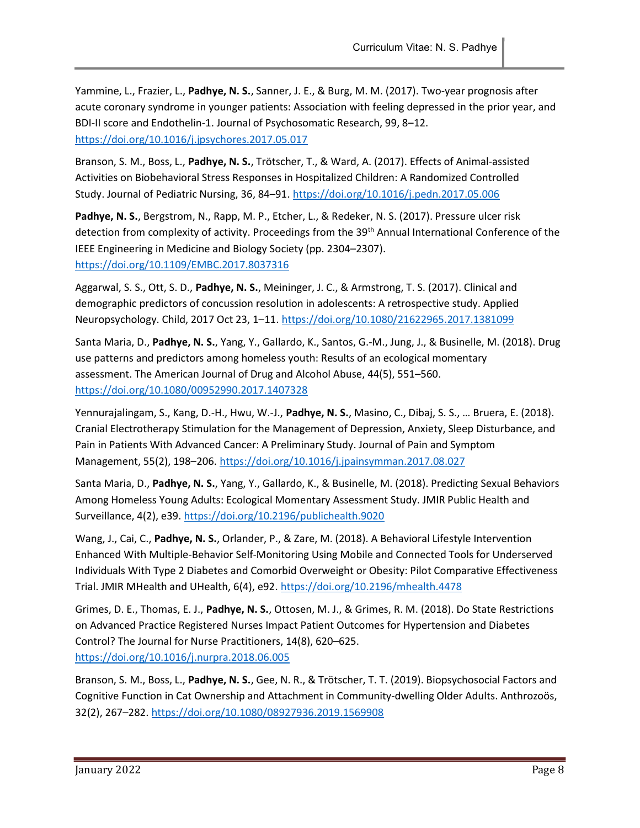Yammine, L., Frazier, L., Padhye, N. S., Sanner, J. E., & Burg, M. M. (2017). Two-year prognosis after acute coronary syndrome in younger patients: Association with feeling depressed in the prior year, and BDI-II score and Endothelin-1. Journal of Psychosomatic Research, 99, 8–12. https://doi.org/10.1016/j.jpsychores.2017.05.017

Branson, S. M., Boss, L., Padhye, N. S., Trötscher, T., & Ward, A. (2017). Effects of Animal-assisted Activities on Biobehavioral Stress Responses in Hospitalized Children: A Randomized Controlled Study. Journal of Pediatric Nursing, 36, 84–91. https://doi.org/10.1016/j.pedn.2017.05.006

Padhye, N. S., Bergstrom, N., Rapp, M. P., Etcher, L., & Redeker, N. S. (2017). Pressure ulcer risk detection from complexity of activity. Proceedings from the 39<sup>th</sup> Annual International Conference of the IEEE Engineering in Medicine and Biology Society (pp. 2304–2307). https://doi.org/10.1109/EMBC.2017.8037316

Aggarwal, S. S., Ott, S. D., Padhye, N. S., Meininger, J. C., & Armstrong, T. S. (2017). Clinical and demographic predictors of concussion resolution in adolescents: A retrospective study. Applied Neuropsychology. Child, 2017 Oct 23, 1–11. https://doi.org/10.1080/21622965.2017.1381099

Santa Maria, D., Padhye, N. S., Yang, Y., Gallardo, K., Santos, G.-M., Jung, J., & Businelle, M. (2018). Drug use patterns and predictors among homeless youth: Results of an ecological momentary assessment. The American Journal of Drug and Alcohol Abuse, 44(5), 551–560. https://doi.org/10.1080/00952990.2017.1407328

Yennurajalingam, S., Kang, D.-H., Hwu, W.-J., Padhye, N. S., Masino, C., Dibaj, S. S., ... Bruera, E. (2018). Cranial Electrotherapy Stimulation for the Management of Depression, Anxiety, Sleep Disturbance, and Pain in Patients With Advanced Cancer: A Preliminary Study. Journal of Pain and Symptom Management, 55(2), 198–206. https://doi.org/10.1016/j.jpainsymman.2017.08.027

Santa Maria, D., Padhye, N. S., Yang, Y., Gallardo, K., & Businelle, M. (2018). Predicting Sexual Behaviors Among Homeless Young Adults: Ecological Momentary Assessment Study. JMIR Public Health and Surveillance, 4(2), e39. https://doi.org/10.2196/publichealth.9020

Wang, J., Cai, C., Padhye, N. S., Orlander, P., & Zare, M. (2018). A Behavioral Lifestyle Intervention Enhanced With Multiple-Behavior Self-Monitoring Using Mobile and Connected Tools for Underserved Individuals With Type 2 Diabetes and Comorbid Overweight or Obesity: Pilot Comparative Effectiveness Trial. JMIR MHealth and UHealth, 6(4), e92. https://doi.org/10.2196/mhealth.4478

Grimes, D. E., Thomas, E. J., Padhye, N. S., Ottosen, M. J., & Grimes, R. M. (2018). Do State Restrictions on Advanced Practice Registered Nurses Impact Patient Outcomes for Hypertension and Diabetes Control? The Journal for Nurse Practitioners, 14(8), 620–625. https://doi.org/10.1016/j.nurpra.2018.06.005

Branson, S. M., Boss, L., Padhye, N. S., Gee, N. R., & Trötscher, T. T. (2019). Biopsychosocial Factors and Cognitive Function in Cat Ownership and Attachment in Community-dwelling Older Adults. Anthrozoös, 32(2), 267–282. https://doi.org/10.1080/08927936.2019.1569908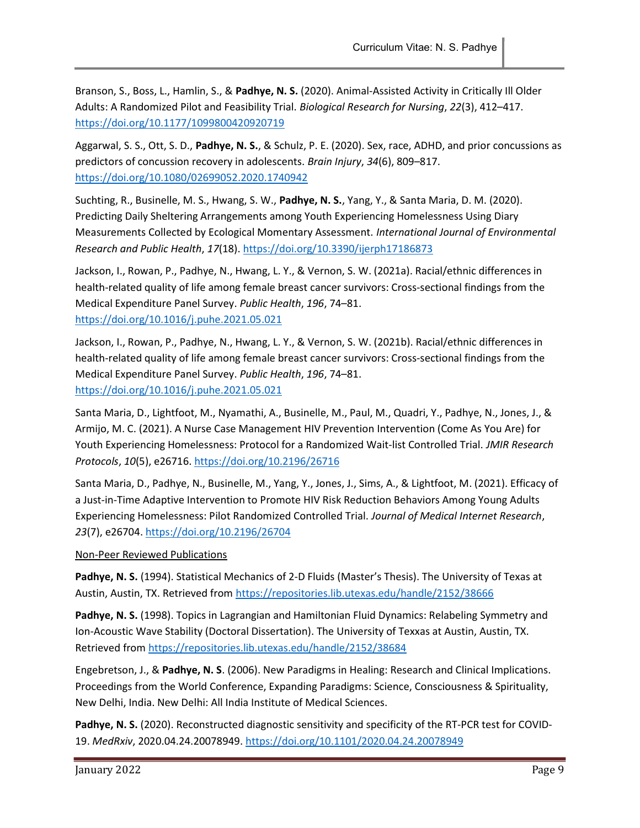Branson, S., Boss, L., Hamlin, S., & Padhye, N. S. (2020). Animal-Assisted Activity in Critically Ill Older Adults: A Randomized Pilot and Feasibility Trial. Biological Research for Nursing, 22(3), 412–417. https://doi.org/10.1177/1099800420920719

Aggarwal, S. S., Ott, S. D., Padhye, N. S., & Schulz, P. E. (2020). Sex, race, ADHD, and prior concussions as predictors of concussion recovery in adolescents. Brain Injury, 34(6), 809–817. https://doi.org/10.1080/02699052.2020.1740942

Suchting, R., Businelle, M. S., Hwang, S. W., Padhye, N. S., Yang, Y., & Santa Maria, D. M. (2020). Predicting Daily Sheltering Arrangements among Youth Experiencing Homelessness Using Diary Measurements Collected by Ecological Momentary Assessment. International Journal of Environmental Research and Public Health, 17(18). https://doi.org/10.3390/ijerph17186873

Jackson, I., Rowan, P., Padhye, N., Hwang, L. Y., & Vernon, S. W. (2021a). Racial/ethnic differences in health-related quality of life among female breast cancer survivors: Cross-sectional findings from the Medical Expenditure Panel Survey. Public Health, 196, 74–81. https://doi.org/10.1016/j.puhe.2021.05.021

Jackson, I., Rowan, P., Padhye, N., Hwang, L. Y., & Vernon, S. W. (2021b). Racial/ethnic differences in health-related quality of life among female breast cancer survivors: Cross-sectional findings from the Medical Expenditure Panel Survey. Public Health, 196, 74–81. https://doi.org/10.1016/j.puhe.2021.05.021

Santa Maria, D., Lightfoot, M., Nyamathi, A., Businelle, M., Paul, M., Quadri, Y., Padhye, N., Jones, J., & Armijo, M. C. (2021). A Nurse Case Management HIV Prevention Intervention (Come As You Are) for Youth Experiencing Homelessness: Protocol for a Randomized Wait-list Controlled Trial. JMIR Research Protocols, 10(5), e26716. https://doi.org/10.2196/26716

Santa Maria, D., Padhye, N., Businelle, M., Yang, Y., Jones, J., Sims, A., & Lightfoot, M. (2021). Efficacy of a Just-in-Time Adaptive Intervention to Promote HIV Risk Reduction Behaviors Among Young Adults Experiencing Homelessness: Pilot Randomized Controlled Trial. Journal of Medical Internet Research, 23(7), e26704. https://doi.org/10.2196/26704

### Non-Peer Reviewed Publications

Padhye, N. S. (1994). Statistical Mechanics of 2-D Fluids (Master's Thesis). The University of Texas at Austin, Austin, TX. Retrieved from https://repositories.lib.utexas.edu/handle/2152/38666

Padhye, N. S. (1998). Topics in Lagrangian and Hamiltonian Fluid Dynamics: Relabeling Symmetry and Ion-Acoustic Wave Stability (Doctoral Dissertation). The University of Texxas at Austin, Austin, TX. Retrieved from https://repositories.lib.utexas.edu/handle/2152/38684

Engebretson, J., & Padhye, N. S. (2006). New Paradigms in Healing: Research and Clinical Implications. Proceedings from the World Conference, Expanding Paradigms: Science, Consciousness & Spirituality, New Delhi, India. New Delhi: All India Institute of Medical Sciences.

Padhye, N. S. (2020). Reconstructed diagnostic sensitivity and specificity of the RT-PCR test for COVID-19. MedRxiv, 2020.04.24.20078949. https://doi.org/10.1101/2020.04.24.20078949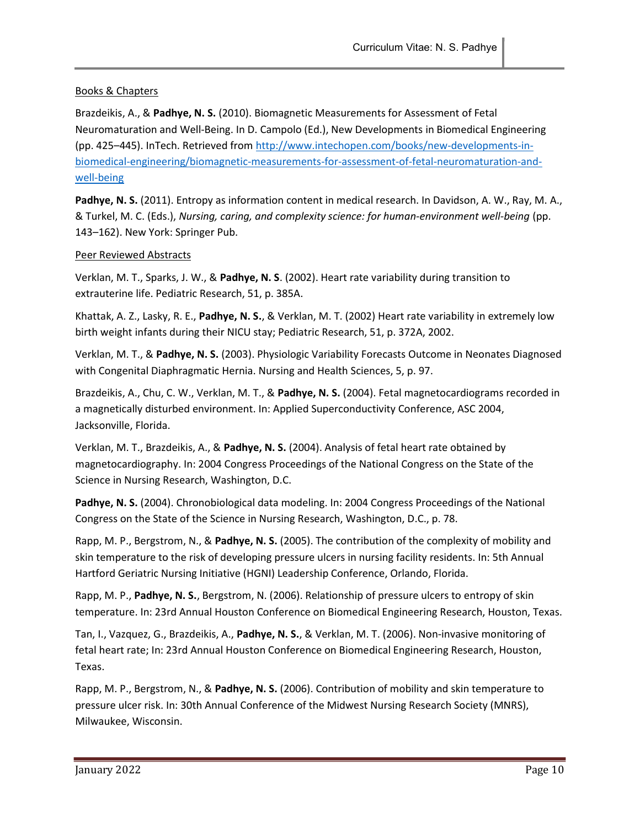# Books & Chapters

Brazdeikis, A., & Padhye, N. S. (2010). Biomagnetic Measurements for Assessment of Fetal Neuromaturation and Well-Being. In D. Campolo (Ed.), New Developments in Biomedical Engineering (pp. 425–445). InTech. Retrieved from http://www.intechopen.com/books/new-developments-inbiomedical-engineering/biomagnetic-measurements-for-assessment-of-fetal-neuromaturation-andwell-being

Padhye, N. S. (2011). Entropy as information content in medical research. In Davidson, A. W., Ray, M. A., & Turkel, M. C. (Eds.), Nursing, caring, and complexity science: for human-environment well-being (pp. 143–162). New York: Springer Pub.

#### Peer Reviewed Abstracts

Verklan, M. T., Sparks, J. W., & Padhye, N. S. (2002). Heart rate variability during transition to extrauterine life. Pediatric Research, 51, p. 385A.

Khattak, A. Z., Lasky, R. E., Padhye, N. S., & Verklan, M. T. (2002) Heart rate variability in extremely low birth weight infants during their NICU stay; Pediatric Research, 51, p. 372A, 2002.

Verklan, M. T., & Padhye, N. S. (2003). Physiologic Variability Forecasts Outcome in Neonates Diagnosed with Congenital Diaphragmatic Hernia. Nursing and Health Sciences, 5, p. 97.

Brazdeikis, A., Chu, C. W., Verklan, M. T., & Padhye, N. S. (2004). Fetal magnetocardiograms recorded in a magnetically disturbed environment. In: Applied Superconductivity Conference, ASC 2004, Jacksonville, Florida.

Verklan, M. T., Brazdeikis, A., & Padhye, N. S. (2004). Analysis of fetal heart rate obtained by magnetocardiography. In: 2004 Congress Proceedings of the National Congress on the State of the Science in Nursing Research, Washington, D.C.

Padhye, N. S. (2004). Chronobiological data modeling. In: 2004 Congress Proceedings of the National Congress on the State of the Science in Nursing Research, Washington, D.C., p. 78.

Rapp, M. P., Bergstrom, N., & Padhye, N. S. (2005). The contribution of the complexity of mobility and skin temperature to the risk of developing pressure ulcers in nursing facility residents. In: 5th Annual Hartford Geriatric Nursing Initiative (HGNI) Leadership Conference, Orlando, Florida.

Rapp, M. P., Padhye, N. S., Bergstrom, N. (2006). Relationship of pressure ulcers to entropy of skin temperature. In: 23rd Annual Houston Conference on Biomedical Engineering Research, Houston, Texas.

Tan, I., Vazquez, G., Brazdeikis, A., Padhye, N. S., & Verklan, M. T. (2006). Non-invasive monitoring of fetal heart rate; In: 23rd Annual Houston Conference on Biomedical Engineering Research, Houston, Texas.

Rapp, M. P., Bergstrom, N., & Padhye, N. S. (2006). Contribution of mobility and skin temperature to pressure ulcer risk. In: 30th Annual Conference of the Midwest Nursing Research Society (MNRS), Milwaukee, Wisconsin.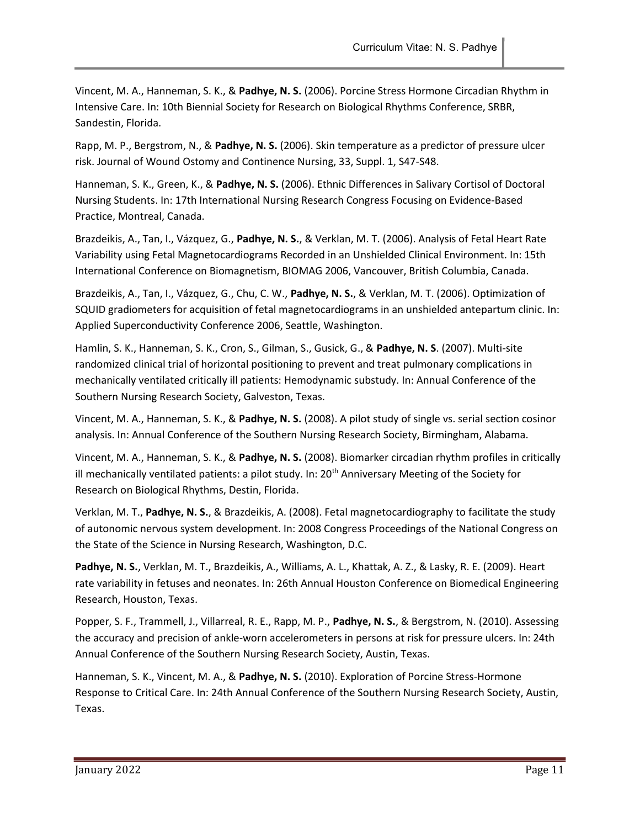Vincent, M. A., Hanneman, S. K., & Padhye, N. S. (2006). Porcine Stress Hormone Circadian Rhythm in Intensive Care. In: 10th Biennial Society for Research on Biological Rhythms Conference, SRBR, Sandestin, Florida.

Rapp, M. P., Bergstrom, N., & Padhye, N. S. (2006). Skin temperature as a predictor of pressure ulcer risk. Journal of Wound Ostomy and Continence Nursing, 33, Suppl. 1, S47-S48.

Hanneman, S. K., Green, K., & Padhye, N. S. (2006). Ethnic Differences in Salivary Cortisol of Doctoral Nursing Students. In: 17th International Nursing Research Congress Focusing on Evidence-Based Practice, Montreal, Canada.

Brazdeikis, A., Tan, I., Vázquez, G., Padhye, N. S., & Verklan, M. T. (2006). Analysis of Fetal Heart Rate Variability using Fetal Magnetocardiograms Recorded in an Unshielded Clinical Environment. In: 15th International Conference on Biomagnetism, BIOMAG 2006, Vancouver, British Columbia, Canada.

Brazdeikis, A., Tan, I., Vázquez, G., Chu, C. W., Padhye, N. S., & Verklan, M. T. (2006). Optimization of SQUID gradiometers for acquisition of fetal magnetocardiograms in an unshielded antepartum clinic. In: Applied Superconductivity Conference 2006, Seattle, Washington.

Hamlin, S. K., Hanneman, S. K., Cron, S., Gilman, S., Gusick, G., & Padhye, N. S. (2007). Multi-site randomized clinical trial of horizontal positioning to prevent and treat pulmonary complications in mechanically ventilated critically ill patients: Hemodynamic substudy. In: Annual Conference of the Southern Nursing Research Society, Galveston, Texas.

Vincent, M. A., Hanneman, S. K., & Padhye, N. S. (2008). A pilot study of single vs. serial section cosinor analysis. In: Annual Conference of the Southern Nursing Research Society, Birmingham, Alabama.

Vincent, M. A., Hanneman, S. K., & Padhye, N. S. (2008). Biomarker circadian rhythm profiles in critically ill mechanically ventilated patients: a pilot study. In:  $20<sup>th</sup>$  Anniversary Meeting of the Society for Research on Biological Rhythms, Destin, Florida.

Verklan, M. T., Padhye, N. S., & Brazdeikis, A. (2008). Fetal magnetocardiography to facilitate the study of autonomic nervous system development. In: 2008 Congress Proceedings of the National Congress on the State of the Science in Nursing Research, Washington, D.C.

Padhye, N. S., Verklan, M. T., Brazdeikis, A., Williams, A. L., Khattak, A. Z., & Lasky, R. E. (2009). Heart rate variability in fetuses and neonates. In: 26th Annual Houston Conference on Biomedical Engineering Research, Houston, Texas.

Popper, S. F., Trammell, J., Villarreal, R. E., Rapp, M. P., Padhye, N. S., & Bergstrom, N. (2010). Assessing the accuracy and precision of ankle-worn accelerometers in persons at risk for pressure ulcers. In: 24th Annual Conference of the Southern Nursing Research Society, Austin, Texas.

Hanneman, S. K., Vincent, M. A., & Padhye, N. S. (2010). Exploration of Porcine Stress-Hormone Response to Critical Care. In: 24th Annual Conference of the Southern Nursing Research Society, Austin, Texas.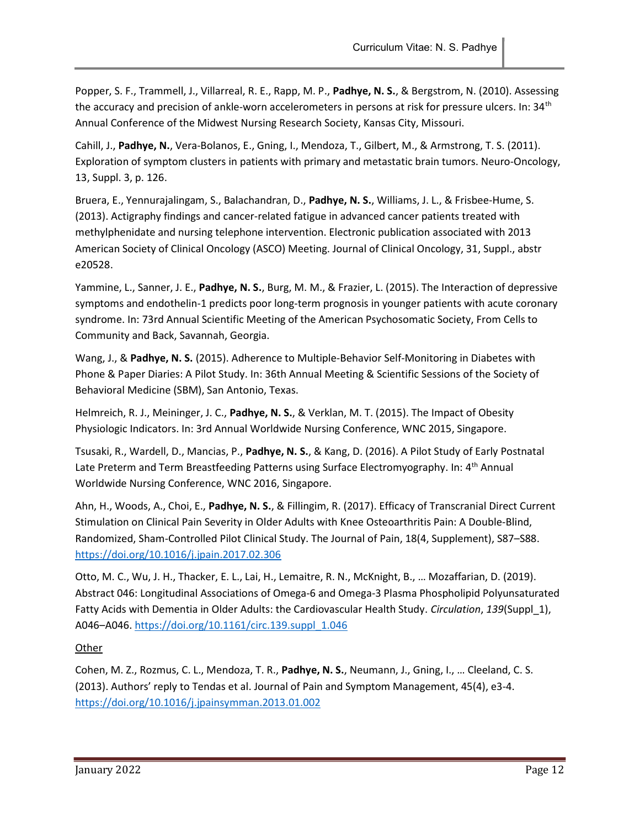Popper, S. F., Trammell, J., Villarreal, R. E., Rapp, M. P., Padhye, N. S., & Bergstrom, N. (2010). Assessing the accuracy and precision of ankle-worn accelerometers in persons at risk for pressure ulcers. In: 34<sup>th</sup> Annual Conference of the Midwest Nursing Research Society, Kansas City, Missouri.

Cahill, J., Padhye, N., Vera-Bolanos, E., Gning, I., Mendoza, T., Gilbert, M., & Armstrong, T. S. (2011). Exploration of symptom clusters in patients with primary and metastatic brain tumors. Neuro-Oncology, 13, Suppl. 3, p. 126.

Bruera, E., Yennurajalingam, S., Balachandran, D., Padhye, N. S., Williams, J. L., & Frisbee-Hume, S. (2013). Actigraphy findings and cancer-related fatigue in advanced cancer patients treated with methylphenidate and nursing telephone intervention. Electronic publication associated with 2013 American Society of Clinical Oncology (ASCO) Meeting. Journal of Clinical Oncology, 31, Suppl., abstr e20528.

Yammine, L., Sanner, J. E., Padhye, N. S., Burg, M. M., & Frazier, L. (2015). The Interaction of depressive symptoms and endothelin-1 predicts poor long-term prognosis in younger patients with acute coronary syndrome. In: 73rd Annual Scientific Meeting of the American Psychosomatic Society, From Cells to Community and Back, Savannah, Georgia.

Wang, J., & Padhye, N. S. (2015). Adherence to Multiple-Behavior Self-Monitoring in Diabetes with Phone & Paper Diaries: A Pilot Study. In: 36th Annual Meeting & Scientific Sessions of the Society of Behavioral Medicine (SBM), San Antonio, Texas.

Helmreich, R. J., Meininger, J. C., Padhye, N. S., & Verklan, M. T. (2015). The Impact of Obesity Physiologic Indicators. In: 3rd Annual Worldwide Nursing Conference, WNC 2015, Singapore.

Tsusaki, R., Wardell, D., Mancias, P., Padhye, N. S., & Kang, D. (2016). A Pilot Study of Early Postnatal Late Preterm and Term Breastfeeding Patterns using Surface Electromyography. In: 4<sup>th</sup> Annual Worldwide Nursing Conference, WNC 2016, Singapore.

Ahn, H., Woods, A., Choi, E., Padhye, N. S., & Fillingim, R. (2017). Efficacy of Transcranial Direct Current Stimulation on Clinical Pain Severity in Older Adults with Knee Osteoarthritis Pain: A Double-Blind, Randomized, Sham-Controlled Pilot Clinical Study. The Journal of Pain, 18(4, Supplement), S87–S88. https://doi.org/10.1016/j.jpain.2017.02.306

Otto, M. C., Wu, J. H., Thacker, E. L., Lai, H., Lemaitre, R. N., McKnight, B., … Mozaffarian, D. (2019). Abstract 046: Longitudinal Associations of Omega-6 and Omega-3 Plasma Phospholipid Polyunsaturated Fatty Acids with Dementia in Older Adults: the Cardiovascular Health Study. Circulation, 139(Suppl 1), A046–A046. https://doi.org/10.1161/circ.139.suppl\_1.046

**Other** 

Cohen, M. Z., Rozmus, C. L., Mendoza, T. R., Padhye, N. S., Neumann, J., Gning, I., ... Cleeland, C. S. (2013). Authors' reply to Tendas et al. Journal of Pain and Symptom Management, 45(4), e3-4. https://doi.org/10.1016/j.jpainsymman.2013.01.002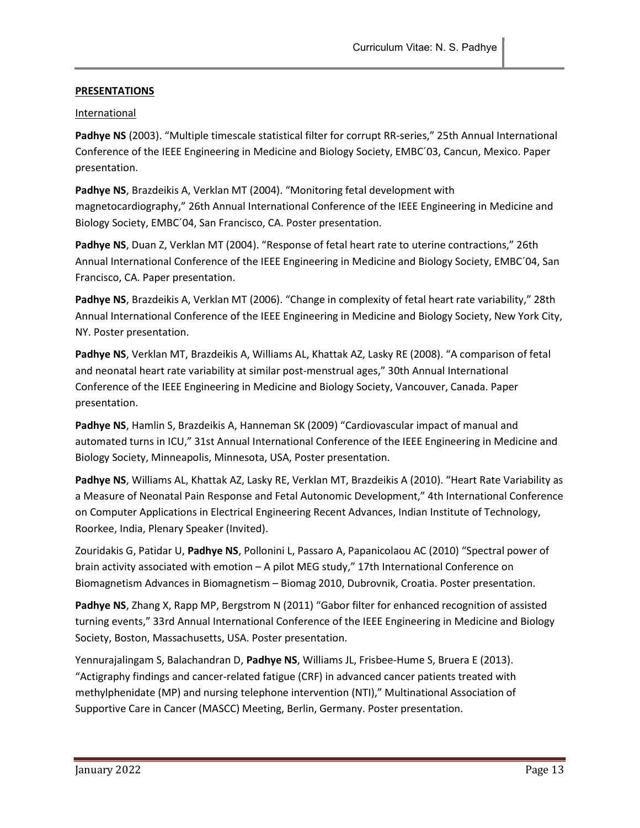# **PRESENTATIONS**

### International

Padhye NS (2003). "Multiple timescale statistical filter for corrupt RR-series," 25th Annual International Conference of the IEEE Engineering in Medicine and Biology Society, EMBC´03, Cancun, Mexico. Paper presentation.

Padhye NS, Brazdeikis A, Verklan MT (2004). "Monitoring fetal development with magnetocardiography," 26th Annual International Conference of the IEEE Engineering in Medicine and Biology Society, EMBC´04, San Francisco, CA. Poster presentation.

Padhye NS, Duan Z, Verklan MT (2004). "Response of fetal heart rate to uterine contractions," 26th Annual International Conference of the IEEE Engineering in Medicine and Biology Society, EMBC´04, San Francisco, CA. Paper presentation.

Padhye NS, Brazdeikis A, Verklan MT (2006). "Change in complexity of fetal heart rate variability," 28th Annual International Conference of the IEEE Engineering in Medicine and Biology Society, New York City, NY. Poster presentation.

Padhye NS, Verklan MT, Brazdeikis A, Williams AL, Khattak AZ, Lasky RE (2008). "A comparison of fetal and neonatal heart rate variability at similar post-menstrual ages," 30th Annual International Conference of the IEEE Engineering in Medicine and Biology Society, Vancouver, Canada. Paper presentation.

Padhye NS, Hamlin S, Brazdeikis A, Hanneman SK (2009) "Cardiovascular impact of manual and automated turns in ICU," 31st Annual International Conference of the IEEE Engineering in Medicine and Biology Society, Minneapolis, Minnesota, USA, Poster presentation.

Padhye NS, Williams AL, Khattak AZ, Lasky RE, Verklan MT, Brazdeikis A (2010). "Heart Rate Variability as a Measure of Neonatal Pain Response and Fetal Autonomic Development," 4th International Conference on Computer Applications in Electrical Engineering Recent Advances, Indian Institute of Technology, Roorkee, India, Plenary Speaker (Invited).

Zouridakis G, Patidar U, Padhye NS, Pollonini L, Passaro A, Papanicolaou AC (2010) "Spectral power of brain activity associated with emotion – A pilot MEG study," 17th International Conference on Biomagnetism Advances in Biomagnetism – Biomag 2010, Dubrovnik, Croatia. Poster presentation.

Padhye NS, Zhang X, Rapp MP, Bergstrom N (2011) "Gabor filter for enhanced recognition of assisted turning events," 33rd Annual International Conference of the IEEE Engineering in Medicine and Biology Society, Boston, Massachusetts, USA. Poster presentation.

Yennurajalingam S, Balachandran D, Padhye NS, Williams JL, Frisbee-Hume S, Bruera E (2013). "Actigraphy findings and cancer-related fatigue (CRF) in advanced cancer patients treated with methylphenidate (MP) and nursing telephone intervention (NTI)," Multinational Association of Supportive Care in Cancer (MASCC) Meeting, Berlin, Germany. Poster presentation.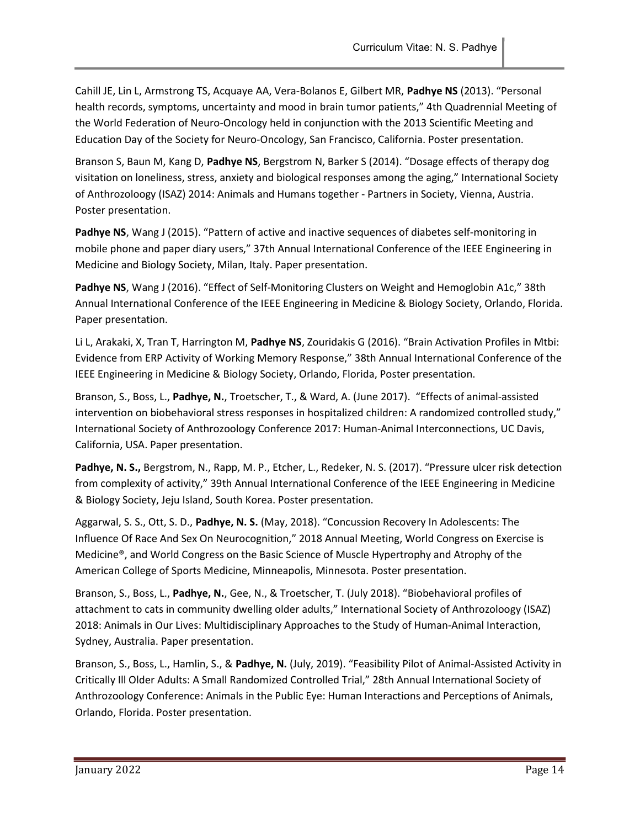Cahill JE, Lin L, Armstrong TS, Acquaye AA, Vera-Bolanos E, Gilbert MR, Padhye NS (2013). "Personal health records, symptoms, uncertainty and mood in brain tumor patients," 4th Quadrennial Meeting of the World Federation of Neuro-Oncology held in conjunction with the 2013 Scientific Meeting and Education Day of the Society for Neuro-Oncology, San Francisco, California. Poster presentation.

Branson S, Baun M, Kang D, Padhye NS, Bergstrom N, Barker S (2014). "Dosage effects of therapy dog visitation on loneliness, stress, anxiety and biological responses among the aging," International Society of Anthrozoloogy (ISAZ) 2014: Animals and Humans together - Partners in Society, Vienna, Austria. Poster presentation.

Padhye NS, Wang J (2015). "Pattern of active and inactive sequences of diabetes self-monitoring in mobile phone and paper diary users," 37th Annual International Conference of the IEEE Engineering in Medicine and Biology Society, Milan, Italy. Paper presentation.

Padhye NS, Wang J (2016). "Effect of Self-Monitoring Clusters on Weight and Hemoglobin A1c," 38th Annual International Conference of the IEEE Engineering in Medicine & Biology Society, Orlando, Florida. Paper presentation.

Li L, Arakaki, X, Tran T, Harrington M, Padhye NS, Zouridakis G (2016). "Brain Activation Profiles in Mtbi: Evidence from ERP Activity of Working Memory Response," 38th Annual International Conference of the IEEE Engineering in Medicine & Biology Society, Orlando, Florida, Poster presentation.

Branson, S., Boss, L., Padhye, N., Troetscher, T., & Ward, A. (June 2017). "Effects of animal-assisted intervention on biobehavioral stress responses in hospitalized children: A randomized controlled study," International Society of Anthrozoology Conference 2017: Human-Animal Interconnections, UC Davis, California, USA. Paper presentation.

Padhye, N. S., Bergstrom, N., Rapp, M. P., Etcher, L., Redeker, N. S. (2017). "Pressure ulcer risk detection from complexity of activity," 39th Annual International Conference of the IEEE Engineering in Medicine & Biology Society, Jeju Island, South Korea. Poster presentation.

Aggarwal, S. S., Ott, S. D., Padhye, N. S. (May, 2018). "Concussion Recovery In Adolescents: The Influence Of Race And Sex On Neurocognition," 2018 Annual Meeting, World Congress on Exercise is Medicine®, and World Congress on the Basic Science of Muscle Hypertrophy and Atrophy of the American College of Sports Medicine, Minneapolis, Minnesota. Poster presentation.

Branson, S., Boss, L., Padhye, N., Gee, N., & Troetscher, T. (July 2018). "Biobehavioral profiles of attachment to cats in community dwelling older adults," International Society of Anthrozoloogy (ISAZ) 2018: Animals in Our Lives: Multidisciplinary Approaches to the Study of Human-Animal Interaction, Sydney, Australia. Paper presentation.

Branson, S., Boss, L., Hamlin, S., & Padhye, N. (July, 2019). "Feasibility Pilot of Animal-Assisted Activity in Critically Ill Older Adults: A Small Randomized Controlled Trial," 28th Annual International Society of Anthrozoology Conference: Animals in the Public Eye: Human Interactions and Perceptions of Animals, Orlando, Florida. Poster presentation.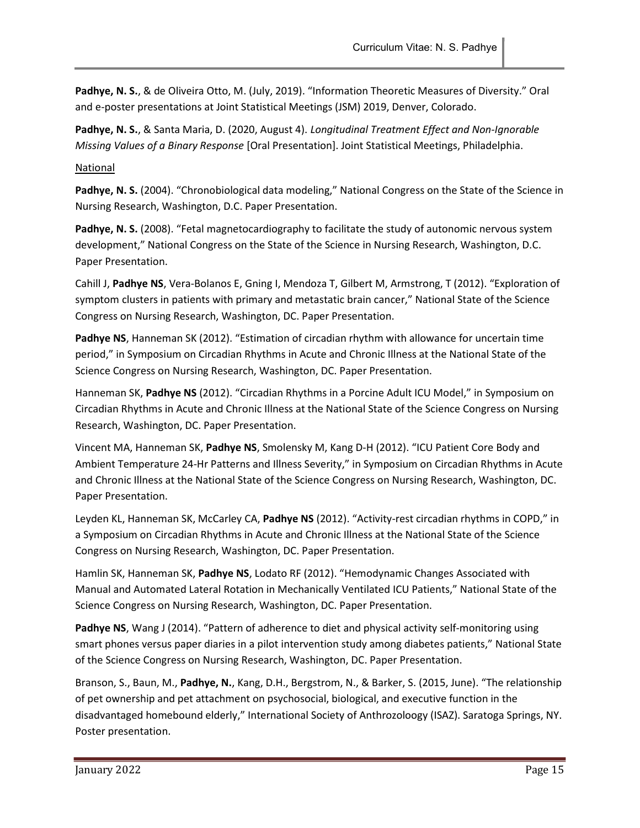Padhye, N. S., & de Oliveira Otto, M. (July, 2019). "Information Theoretic Measures of Diversity." Oral and e-poster presentations at Joint Statistical Meetings (JSM) 2019, Denver, Colorado.

Padhye, N. S., & Santa Maria, D. (2020, August 4). Longitudinal Treatment Effect and Non-Ignorable Missing Values of a Binary Response [Oral Presentation]. Joint Statistical Meetings, Philadelphia.

### National

Padhye, N. S. (2004). "Chronobiological data modeling," National Congress on the State of the Science in Nursing Research, Washington, D.C. Paper Presentation.

Padhye, N. S. (2008). "Fetal magnetocardiography to facilitate the study of autonomic nervous system development," National Congress on the State of the Science in Nursing Research, Washington, D.C. Paper Presentation.

Cahill J, Padhye NS, Vera-Bolanos E, Gning I, Mendoza T, Gilbert M, Armstrong, T (2012). "Exploration of symptom clusters in patients with primary and metastatic brain cancer," National State of the Science Congress on Nursing Research, Washington, DC. Paper Presentation.

Padhye NS, Hanneman SK (2012). "Estimation of circadian rhythm with allowance for uncertain time period," in Symposium on Circadian Rhythms in Acute and Chronic Illness at the National State of the Science Congress on Nursing Research, Washington, DC. Paper Presentation.

Hanneman SK, Padhye NS (2012). "Circadian Rhythms in a Porcine Adult ICU Model," in Symposium on Circadian Rhythms in Acute and Chronic Illness at the National State of the Science Congress on Nursing Research, Washington, DC. Paper Presentation.

Vincent MA, Hanneman SK, Padhye NS, Smolensky M, Kang D-H (2012). "ICU Patient Core Body and Ambient Temperature 24-Hr Patterns and Illness Severity," in Symposium on Circadian Rhythms in Acute and Chronic Illness at the National State of the Science Congress on Nursing Research, Washington, DC. Paper Presentation.

Leyden KL, Hanneman SK, McCarley CA, Padhye NS (2012). "Activity-rest circadian rhythms in COPD," in a Symposium on Circadian Rhythms in Acute and Chronic Illness at the National State of the Science Congress on Nursing Research, Washington, DC. Paper Presentation.

Hamlin SK, Hanneman SK, Padhye NS, Lodato RF (2012). "Hemodynamic Changes Associated with Manual and Automated Lateral Rotation in Mechanically Ventilated ICU Patients," National State of the Science Congress on Nursing Research, Washington, DC. Paper Presentation.

Padhye NS, Wang J (2014). "Pattern of adherence to diet and physical activity self-monitoring using smart phones versus paper diaries in a pilot intervention study among diabetes patients," National State of the Science Congress on Nursing Research, Washington, DC. Paper Presentation.

Branson, S., Baun, M., Padhye, N., Kang, D.H., Bergstrom, N., & Barker, S. (2015, June). "The relationship of pet ownership and pet attachment on psychosocial, biological, and executive function in the disadvantaged homebound elderly," International Society of Anthrozoloogy (ISAZ). Saratoga Springs, NY. Poster presentation.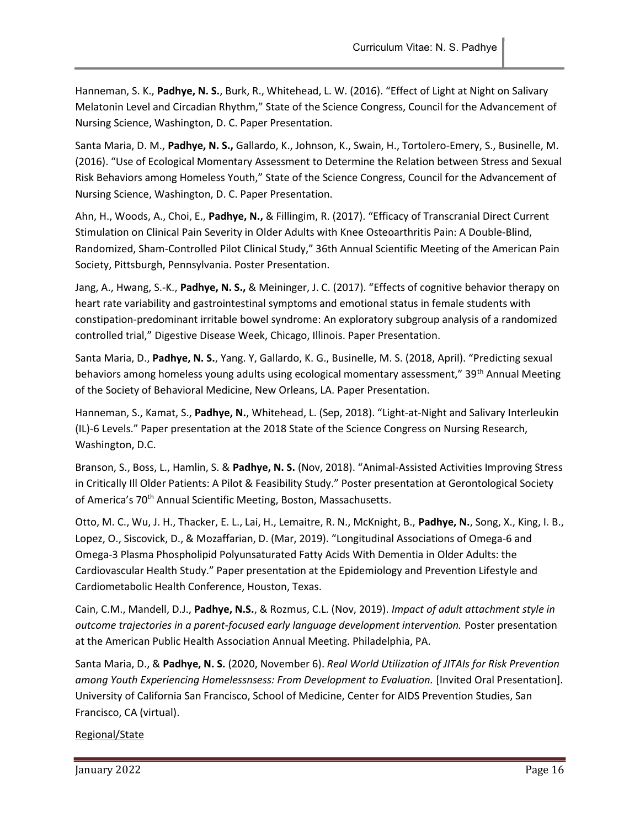Hanneman, S. K., Padhye, N. S., Burk, R., Whitehead, L. W. (2016). "Effect of Light at Night on Salivary Melatonin Level and Circadian Rhythm," State of the Science Congress, Council for the Advancement of Nursing Science, Washington, D. C. Paper Presentation.

Santa Maria, D. M., Padhye, N. S., Gallardo, K., Johnson, K., Swain, H., Tortolero-Emery, S., Businelle, M. (2016). "Use of Ecological Momentary Assessment to Determine the Relation between Stress and Sexual Risk Behaviors among Homeless Youth," State of the Science Congress, Council for the Advancement of Nursing Science, Washington, D. C. Paper Presentation.

Ahn, H., Woods, A., Choi, E., Padhye, N., & Fillingim, R. (2017). "Efficacy of Transcranial Direct Current Stimulation on Clinical Pain Severity in Older Adults with Knee Osteoarthritis Pain: A Double-Blind, Randomized, Sham-Controlled Pilot Clinical Study," 36th Annual Scientific Meeting of the American Pain Society, Pittsburgh, Pennsylvania. Poster Presentation.

Jang, A., Hwang, S.-K., Padhye, N. S., & Meininger, J. C. (2017). "Effects of cognitive behavior therapy on heart rate variability and gastrointestinal symptoms and emotional status in female students with constipation-predominant irritable bowel syndrome: An exploratory subgroup analysis of a randomized controlled trial," Digestive Disease Week, Chicago, Illinois. Paper Presentation.

Santa Maria, D., Padhye, N. S., Yang. Y, Gallardo, K. G., Businelle, M. S. (2018, April). "Predicting sexual behaviors among homeless young adults using ecological momentary assessment," 39<sup>th</sup> Annual Meeting of the Society of Behavioral Medicine, New Orleans, LA. Paper Presentation.

Hanneman, S., Kamat, S., Padhye, N., Whitehead, L. (Sep, 2018). "Light-at-Night and Salivary Interleukin (IL)-6 Levels." Paper presentation at the 2018 State of the Science Congress on Nursing Research, Washington, D.C.

Branson, S., Boss, L., Hamlin, S. & Padhye, N. S. (Nov, 2018). "Animal-Assisted Activities Improving Stress in Critically Ill Older Patients: A Pilot & Feasibility Study." Poster presentation at Gerontological Society of America's 70<sup>th</sup> Annual Scientific Meeting, Boston, Massachusetts.

Otto, M. C., Wu, J. H., Thacker, E. L., Lai, H., Lemaitre, R. N., McKnight, B., Padhye, N., Song, X., King, I. B., Lopez, O., Siscovick, D., & Mozaffarian, D. (Mar, 2019). "Longitudinal Associations of Omega-6 and Omega-3 Plasma Phospholipid Polyunsaturated Fatty Acids With Dementia in Older Adults: the Cardiovascular Health Study." Paper presentation at the Epidemiology and Prevention Lifestyle and Cardiometabolic Health Conference, Houston, Texas.

Cain, C.M., Mandell, D.J., Padhye, N.S., & Rozmus, C.L. (Nov, 2019). Impact of adult attachment style in outcome trajectories in a parent-focused early language development intervention. Poster presentation at the American Public Health Association Annual Meeting. Philadelphia, PA.

Santa Maria, D., & Padhye, N. S. (2020, November 6). Real World Utilization of JITAIs for Risk Prevention among Youth Experiencing Homelessnsess: From Development to Evaluation. [Invited Oral Presentation]. University of California San Francisco, School of Medicine, Center for AIDS Prevention Studies, San Francisco, CA (virtual).

### Regional/State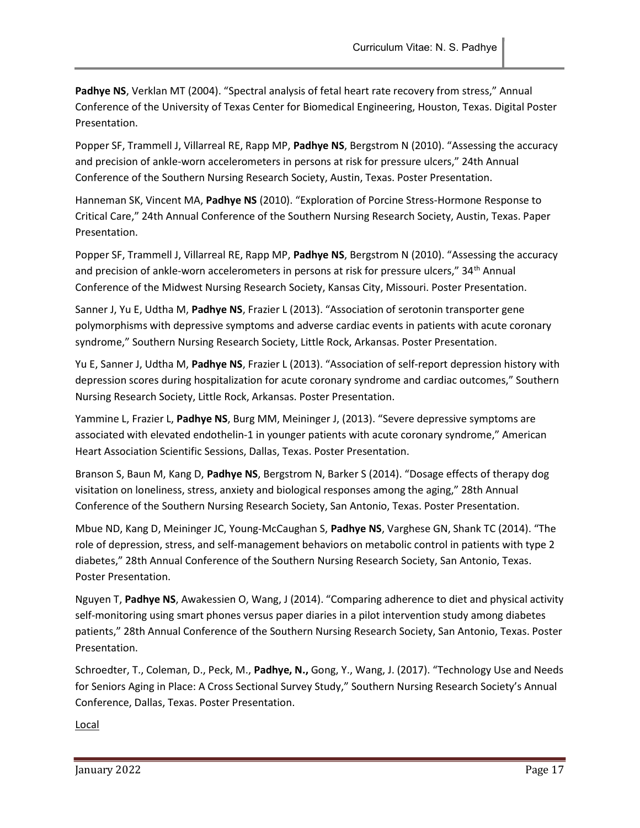Padhye NS, Verklan MT (2004). "Spectral analysis of fetal heart rate recovery from stress," Annual Conference of the University of Texas Center for Biomedical Engineering, Houston, Texas. Digital Poster Presentation.

Popper SF, Trammell J, Villarreal RE, Rapp MP, Padhye NS, Bergstrom N (2010). "Assessing the accuracy and precision of ankle-worn accelerometers in persons at risk for pressure ulcers," 24th Annual Conference of the Southern Nursing Research Society, Austin, Texas. Poster Presentation.

Hanneman SK, Vincent MA, Padhye NS (2010). "Exploration of Porcine Stress-Hormone Response to Critical Care," 24th Annual Conference of the Southern Nursing Research Society, Austin, Texas. Paper Presentation.

Popper SF, Trammell J, Villarreal RE, Rapp MP, Padhye NS, Bergstrom N (2010). "Assessing the accuracy and precision of ankle-worn accelerometers in persons at risk for pressure ulcers," 34<sup>th</sup> Annual Conference of the Midwest Nursing Research Society, Kansas City, Missouri. Poster Presentation.

Sanner J, Yu E, Udtha M, Padhye NS, Frazier L (2013). "Association of serotonin transporter gene polymorphisms with depressive symptoms and adverse cardiac events in patients with acute coronary syndrome," Southern Nursing Research Society, Little Rock, Arkansas. Poster Presentation.

Yu E, Sanner J, Udtha M, Padhye NS, Frazier L (2013). "Association of self-report depression history with depression scores during hospitalization for acute coronary syndrome and cardiac outcomes," Southern Nursing Research Society, Little Rock, Arkansas. Poster Presentation.

Yammine L, Frazier L, Padhye NS, Burg MM, Meininger J, (2013). "Severe depressive symptoms are associated with elevated endothelin-1 in younger patients with acute coronary syndrome," American Heart Association Scientific Sessions, Dallas, Texas. Poster Presentation.

Branson S, Baun M, Kang D, Padhye NS, Bergstrom N, Barker S (2014). "Dosage effects of therapy dog visitation on loneliness, stress, anxiety and biological responses among the aging," 28th Annual Conference of the Southern Nursing Research Society, San Antonio, Texas. Poster Presentation.

Mbue ND, Kang D, Meininger JC, Young-McCaughan S, Padhye NS, Varghese GN, Shank TC (2014). "The role of depression, stress, and self-management behaviors on metabolic control in patients with type 2 diabetes," 28th Annual Conference of the Southern Nursing Research Society, San Antonio, Texas. Poster Presentation.

Nguyen T, Padhye NS, Awakessien O, Wang, J (2014). "Comparing adherence to diet and physical activity self-monitoring using smart phones versus paper diaries in a pilot intervention study among diabetes patients," 28th Annual Conference of the Southern Nursing Research Society, San Antonio, Texas. Poster Presentation.

Schroedter, T., Coleman, D., Peck, M., Padhye, N., Gong, Y., Wang, J. (2017). "Technology Use and Needs for Seniors Aging in Place: A Cross Sectional Survey Study," Southern Nursing Research Society's Annual Conference, Dallas, Texas. Poster Presentation.

Local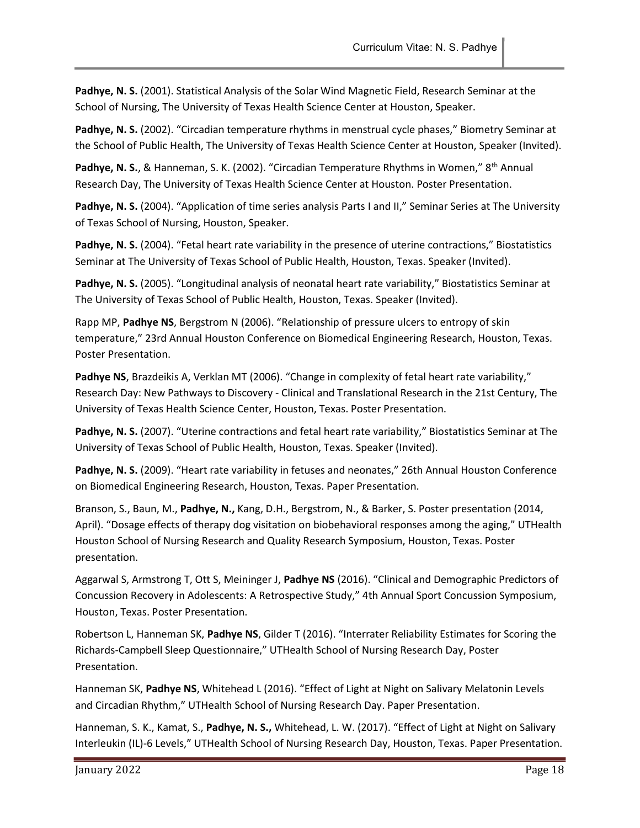Padhye, N. S. (2001). Statistical Analysis of the Solar Wind Magnetic Field, Research Seminar at the School of Nursing, The University of Texas Health Science Center at Houston, Speaker.

Padhye, N. S. (2002). "Circadian temperature rhythms in menstrual cycle phases," Biometry Seminar at the School of Public Health, The University of Texas Health Science Center at Houston, Speaker (Invited).

Padhye, N. S., & Hanneman, S. K. (2002). "Circadian Temperature Rhythms in Women," 8<sup>th</sup> Annual Research Day, The University of Texas Health Science Center at Houston. Poster Presentation.

Padhye, N. S. (2004). "Application of time series analysis Parts I and II," Seminar Series at The University of Texas School of Nursing, Houston, Speaker.

Padhye, N. S. (2004). "Fetal heart rate variability in the presence of uterine contractions," Biostatistics Seminar at The University of Texas School of Public Health, Houston, Texas. Speaker (Invited).

Padhye, N. S. (2005). "Longitudinal analysis of neonatal heart rate variability," Biostatistics Seminar at The University of Texas School of Public Health, Houston, Texas. Speaker (Invited).

Rapp MP, Padhye NS, Bergstrom N (2006). "Relationship of pressure ulcers to entropy of skin temperature," 23rd Annual Houston Conference on Biomedical Engineering Research, Houston, Texas. Poster Presentation.

Padhye NS, Brazdeikis A, Verklan MT (2006). "Change in complexity of fetal heart rate variability," Research Day: New Pathways to Discovery - Clinical and Translational Research in the 21st Century, The University of Texas Health Science Center, Houston, Texas. Poster Presentation.

Padhye, N. S. (2007). "Uterine contractions and fetal heart rate variability," Biostatistics Seminar at The University of Texas School of Public Health, Houston, Texas. Speaker (Invited).

Padhye, N. S. (2009). "Heart rate variability in fetuses and neonates," 26th Annual Houston Conference on Biomedical Engineering Research, Houston, Texas. Paper Presentation.

Branson, S., Baun, M., Padhye, N., Kang, D.H., Bergstrom, N., & Barker, S. Poster presentation (2014, April). "Dosage effects of therapy dog visitation on biobehavioral responses among the aging," UTHealth Houston School of Nursing Research and Quality Research Symposium, Houston, Texas. Poster presentation.

Aggarwal S, Armstrong T, Ott S, Meininger J, Padhye NS (2016). "Clinical and Demographic Predictors of Concussion Recovery in Adolescents: A Retrospective Study," 4th Annual Sport Concussion Symposium, Houston, Texas. Poster Presentation.

Robertson L, Hanneman SK, Padhye NS, Gilder T (2016). "Interrater Reliability Estimates for Scoring the Richards-Campbell Sleep Questionnaire," UTHealth School of Nursing Research Day, Poster Presentation.

Hanneman SK, Padhye NS, Whitehead L (2016). "Effect of Light at Night on Salivary Melatonin Levels and Circadian Rhythm," UTHealth School of Nursing Research Day. Paper Presentation.

Hanneman, S. K., Kamat, S., Padhye, N. S., Whitehead, L. W. (2017). "Effect of Light at Night on Salivary Interleukin (IL)-6 Levels," UTHealth School of Nursing Research Day, Houston, Texas. Paper Presentation.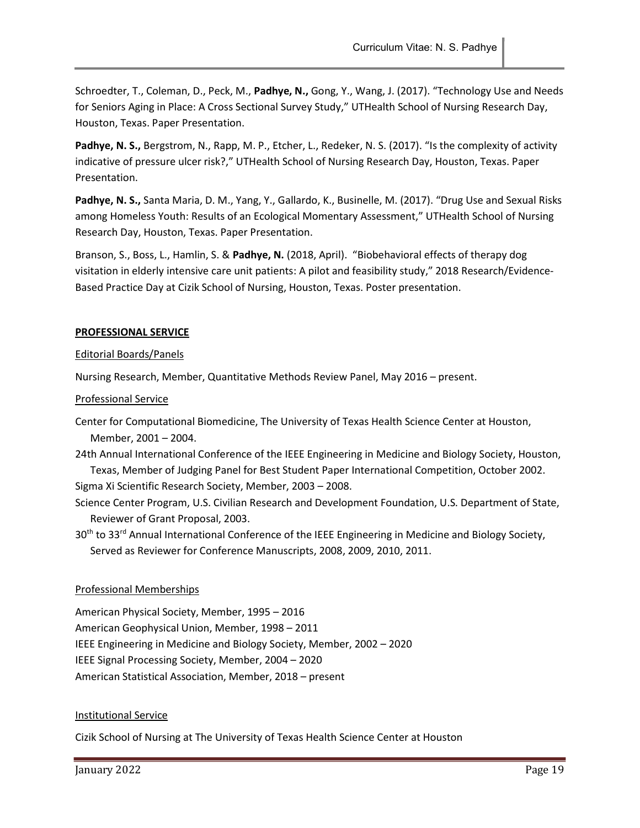Schroedter, T., Coleman, D., Peck, M., Padhye, N., Gong, Y., Wang, J. (2017). "Technology Use and Needs for Seniors Aging in Place: A Cross Sectional Survey Study," UTHealth School of Nursing Research Day, Houston, Texas. Paper Presentation.

Padhye, N. S., Bergstrom, N., Rapp, M. P., Etcher, L., Redeker, N. S. (2017). "Is the complexity of activity indicative of pressure ulcer risk?," UTHealth School of Nursing Research Day, Houston, Texas. Paper Presentation.

Padhye, N. S., Santa Maria, D. M., Yang, Y., Gallardo, K., Businelle, M. (2017). "Drug Use and Sexual Risks among Homeless Youth: Results of an Ecological Momentary Assessment," UTHealth School of Nursing Research Day, Houston, Texas. Paper Presentation.

Branson, S., Boss, L., Hamlin, S. & Padhye, N. (2018, April). "Biobehavioral effects of therapy dog visitation in elderly intensive care unit patients: A pilot and feasibility study," 2018 Research/Evidence-Based Practice Day at Cizik School of Nursing, Houston, Texas. Poster presentation.

### PROFESSIONAL SERVICE

#### Editorial Boards/Panels

Nursing Research, Member, Quantitative Methods Review Panel, May 2016 – present.

### Professional Service

- Center for Computational Biomedicine, The University of Texas Health Science Center at Houston, Member, 2001 – 2004.
- 24th Annual International Conference of the IEEE Engineering in Medicine and Biology Society, Houston, Texas, Member of Judging Panel for Best Student Paper International Competition, October 2002.

Sigma Xi Scientific Research Society, Member, 2003 – 2008.

- Science Center Program, U.S. Civilian Research and Development Foundation, U.S. Department of State, Reviewer of Grant Proposal, 2003.
- 30<sup>th</sup> to 33<sup>rd</sup> Annual International Conference of the IEEE Engineering in Medicine and Biology Society, Served as Reviewer for Conference Manuscripts, 2008, 2009, 2010, 2011.

### Professional Memberships

American Physical Society, Member, 1995 – 2016 American Geophysical Union, Member, 1998 – 2011 IEEE Engineering in Medicine and Biology Society, Member, 2002 – 2020 IEEE Signal Processing Society, Member, 2004 – 2020 American Statistical Association, Member, 2018 – present

### Institutional Service

Cizik School of Nursing at The University of Texas Health Science Center at Houston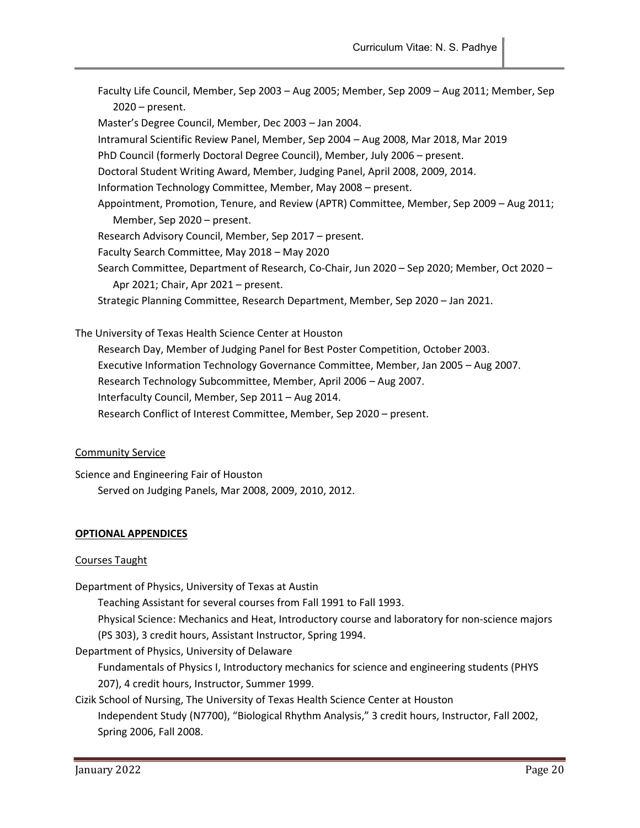Faculty Life Council, Member, Sep 2003 – Aug 2005; Member, Sep 2009 – Aug 2011; Member, Sep 2020 – present. Master's Degree Council, Member, Dec 2003 – Jan 2004. Intramural Scientific Review Panel, Member, Sep 2004 – Aug 2008, Mar 2018, Mar 2019 PhD Council (formerly Doctoral Degree Council), Member, July 2006 – present. Doctoral Student Writing Award, Member, Judging Panel, April 2008, 2009, 2014. Information Technology Committee, Member, May 2008 – present. Appointment, Promotion, Tenure, and Review (APTR) Committee, Member, Sep 2009 – Aug 2011; Member, Sep 2020 – present. Research Advisory Council, Member, Sep 2017 – present. Faculty Search Committee, May 2018 – May 2020 Search Committee, Department of Research, Co-Chair, Jun 2020 – Sep 2020; Member, Oct 2020 – Apr 2021; Chair, Apr 2021 – present. Strategic Planning Committee, Research Department, Member, Sep 2020 – Jan 2021.

The University of Texas Health Science Center at Houston Research Day, Member of Judging Panel for Best Poster Competition, October 2003. Executive Information Technology Governance Committee, Member, Jan 2005 – Aug 2007. Research Technology Subcommittee, Member, April 2006 – Aug 2007. Interfaculty Council, Member, Sep 2011 – Aug 2014. Research Conflict of Interest Committee, Member, Sep 2020 – present.

#### Community Service

Science and Engineering Fair of Houston Served on Judging Panels, Mar 2008, 2009, 2010, 2012.

#### OPTIONAL APPENDICES

#### Courses Taught

Department of Physics, University of Texas at Austin

Teaching Assistant for several courses from Fall 1991 to Fall 1993.

Physical Science: Mechanics and Heat, Introductory course and laboratory for non-science majors

(PS 303), 3 credit hours, Assistant Instructor, Spring 1994.

Department of Physics, University of Delaware

Fundamentals of Physics I, Introductory mechanics for science and engineering students (PHYS 207), 4 credit hours, Instructor, Summer 1999.

Cizik School of Nursing, The University of Texas Health Science Center at Houston

Independent Study (N7700), "Biological Rhythm Analysis," 3 credit hours, Instructor, Fall 2002, Spring 2006, Fall 2008.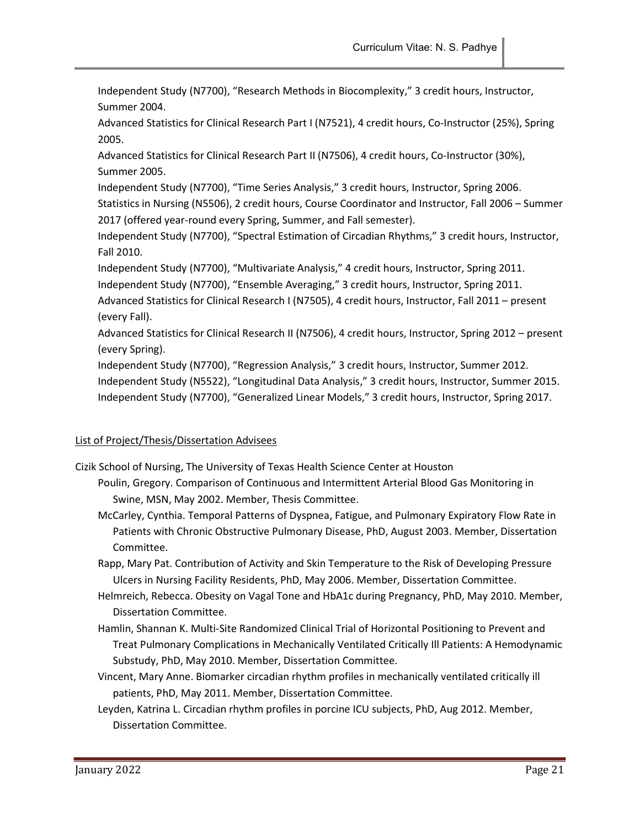Independent Study (N7700), "Research Methods in Biocomplexity," 3 credit hours, Instructor, Summer 2004.

Advanced Statistics for Clinical Research Part I (N7521), 4 credit hours, Co-Instructor (25%), Spring 2005.

Advanced Statistics for Clinical Research Part II (N7506), 4 credit hours, Co-Instructor (30%), Summer 2005.

Independent Study (N7700), "Time Series Analysis," 3 credit hours, Instructor, Spring 2006. Statistics in Nursing (N5506), 2 credit hours, Course Coordinator and Instructor, Fall 2006 – Summer 2017 (offered year-round every Spring, Summer, and Fall semester).

Independent Study (N7700), "Spectral Estimation of Circadian Rhythms," 3 credit hours, Instructor, Fall 2010.

Independent Study (N7700), "Multivariate Analysis," 4 credit hours, Instructor, Spring 2011.

Independent Study (N7700), "Ensemble Averaging," 3 credit hours, Instructor, Spring 2011.

Advanced Statistics for Clinical Research I (N7505), 4 credit hours, Instructor, Fall 2011 – present (every Fall).

Advanced Statistics for Clinical Research II (N7506), 4 credit hours, Instructor, Spring 2012 – present (every Spring).

Independent Study (N7700), "Regression Analysis," 3 credit hours, Instructor, Summer 2012. Independent Study (N5522), "Longitudinal Data Analysis," 3 credit hours, Instructor, Summer 2015. Independent Study (N7700), "Generalized Linear Models," 3 credit hours, Instructor, Spring 2017.

# List of Project/Thesis/Dissertation Advisees

Cizik School of Nursing, The University of Texas Health Science Center at Houston

- Poulin, Gregory. Comparison of Continuous and Intermittent Arterial Blood Gas Monitoring in Swine, MSN, May 2002. Member, Thesis Committee.
- McCarley, Cynthia. Temporal Patterns of Dyspnea, Fatigue, and Pulmonary Expiratory Flow Rate in Patients with Chronic Obstructive Pulmonary Disease, PhD, August 2003. Member, Dissertation Committee.
- Rapp, Mary Pat. Contribution of Activity and Skin Temperature to the Risk of Developing Pressure Ulcers in Nursing Facility Residents, PhD, May 2006. Member, Dissertation Committee.
- Helmreich, Rebecca. Obesity on Vagal Tone and HbA1c during Pregnancy, PhD, May 2010. Member, Dissertation Committee.
- Hamlin, Shannan K. Multi-Site Randomized Clinical Trial of Horizontal Positioning to Prevent and Treat Pulmonary Complications in Mechanically Ventilated Critically Ill Patients: A Hemodynamic Substudy, PhD, May 2010. Member, Dissertation Committee.
- Vincent, Mary Anne. Biomarker circadian rhythm profiles in mechanically ventilated critically ill patients, PhD, May 2011. Member, Dissertation Committee.
- Leyden, Katrina L. Circadian rhythm profiles in porcine ICU subjects, PhD, Aug 2012. Member, Dissertation Committee.